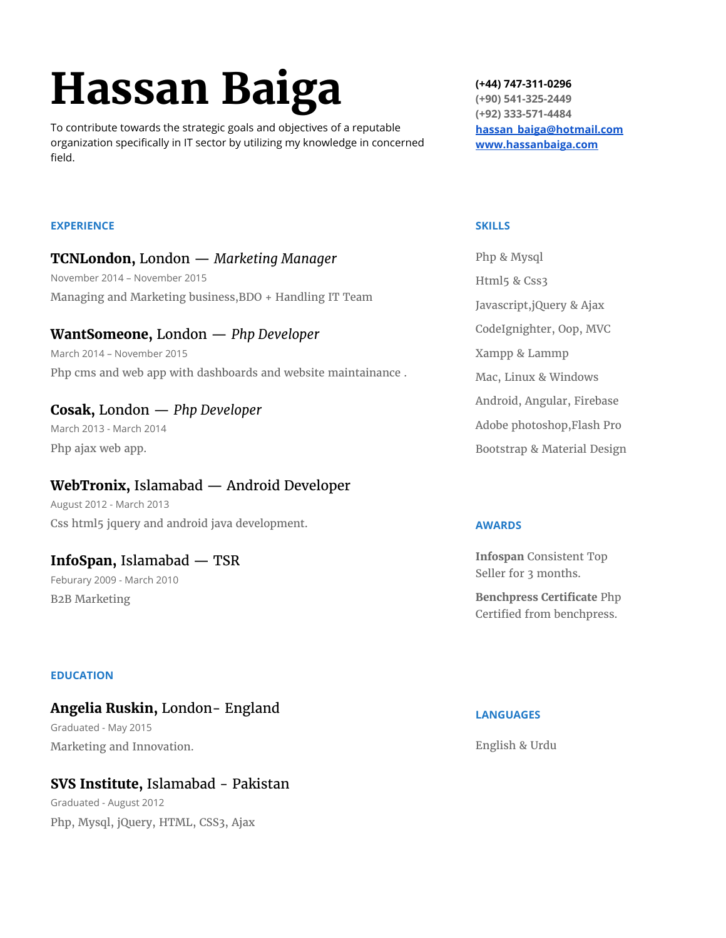# **Hassan Baiga**

To contribute towards the strategic goals and objectives of a reputable organization specifically in IT sector by utilizing my knowledge in concerned field.

**(+44) 747-311-0296 (+90) 541-325-2449 (+92) 333-571-4484 [hassan\\_baiga@hotmail.com](mailto:hassan_baiga@hotmail.com) [www.hassanbaiga.com](http://www.hassanbaiga.com/)**

#### **EXPERIENCE**

**TCNLondon,** London — *Marketing Manager* November 2014 – November 2015 Managing and Marketing business,BDO + Handling IT Team

## **WantSomeone,** London — *Php Developer* March 2014 – November 2015 Php cms and web app with dashboards and website maintainance .

## **Cosak,** London — *Php Developer* March 2013 - March 2014 Php ajax web app.

## **WebTronix,** Islamabad — Android Developer

August 2012 - March 2013 Css html5 jquery and android java development.

## **InfoSpan,** Islamabad — TSR

Feburary 2009 - March 2010 B2B Marketing

#### **EDUCATION**

## **Angelia Ruskin,** London- England Graduated - May 2015 Marketing and Innovation.

# **SVS Institute,** Islamabad - Pakistan

Graduated - August 2012 Php, Mysql, jQuery, HTML, CSS3, Ajax

#### **SKILLS**

| Php & Mysql                 |
|-----------------------------|
| Html5 & Css3                |
| Javascript, jQuery & Ajax   |
| CodeIgnighter, Oop, MVC     |
| Xampp & Lammp               |
| Mac, Linux & Windows        |
| Android, Angular, Firebase  |
| Adobe photoshop, Flash Pro  |
| Bootstrap & Material Design |

#### **AWARDS**

**Infospan** Consistent Top Seller for 3 months.

**Benchpress Certificate** Php Certified from benchpress.

#### **LANGUAGES**

English & Urdu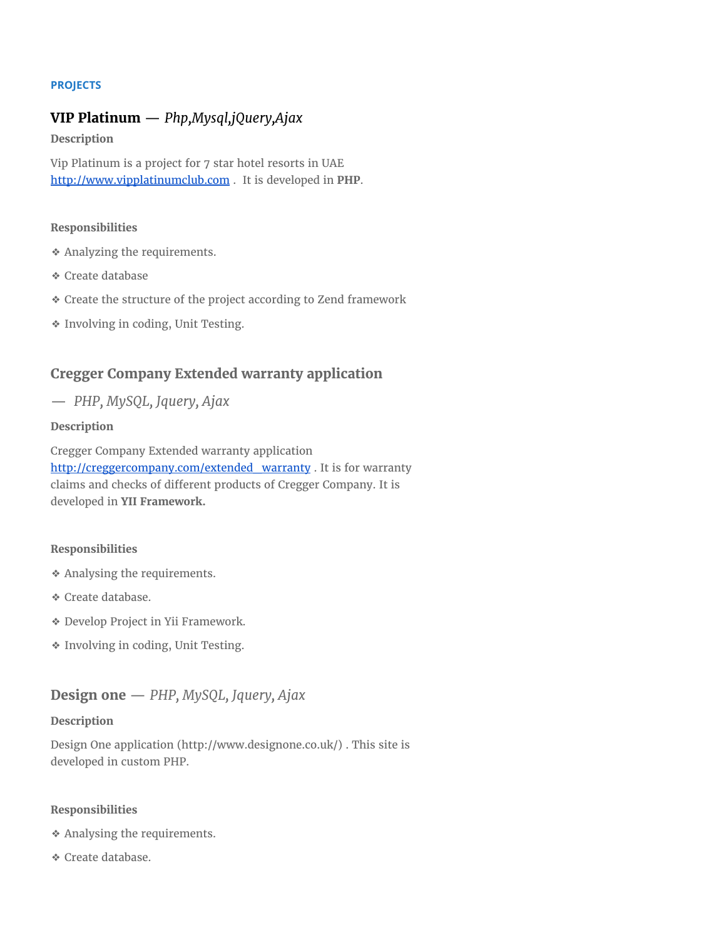#### **PROJECTS**

## **VIP Platinum** — *Php,Mysql,jQuery,Ajax*

**Description**

Vip Platinum is a project for 7 star hotel resorts in UAE [http://www.vipplatinumclub.com](http://www.vipplatinumclub.com/) . It is developed in **PHP**.

#### **Responsibilities**

- ❖ Analyzing the requirements.
- ❖ Create database
- ❖ Create the structure of the project according to Zend framework
- ❖ Involving in coding, Unit Testing.

## **Cregger Company Extended warranty application**

— *PHP, MySQL, Jquery, Ajax*

#### **Description**

Cregger Company Extended warranty application [http://creggercompany.com/extended\\_warranty](http://creggercompany.com/extended_warranty) . It is for warranty claims and checks of different products of Cregger Company. It is developed in **YII Framework.**

#### **Responsibilities**

- ❖ Analysing the requirements.
- ❖ Create database.
- ❖ Develop Project in Yii Framework.
- ❖ Involving in coding, Unit Testing.

## **Design one** — *PHP, MySQL, Jquery, Ajax*

#### **Description**

Design One application (http://www.designone.co.uk/) . This site is developed in custom PHP.

#### **Responsibilities**

❖ Analysing the requirements.

❖ Create database.